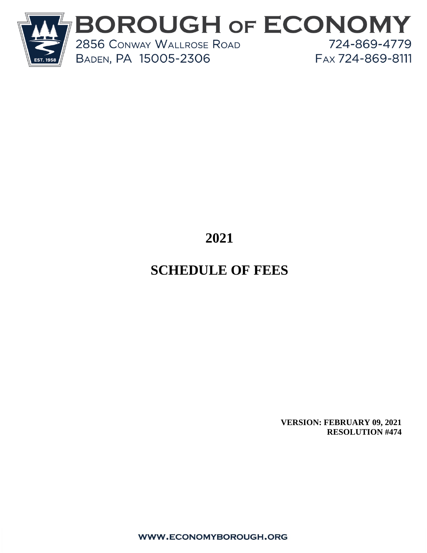

# **2021**

# **SCHEDULE OF FEES**

**VERSION: FEBRUARY 09, 2021 RESOLUTION #474**

WWW.ECONOMYBOROUGH.ORG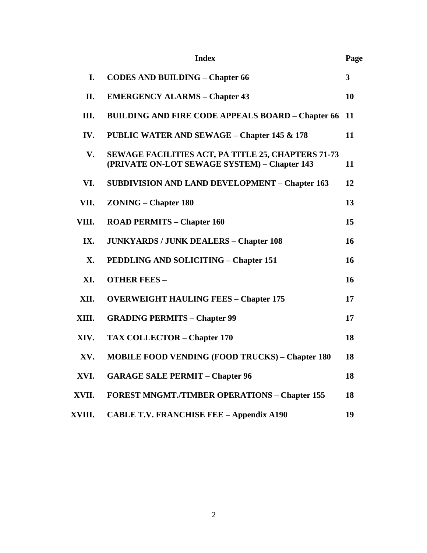|        | <b>Index</b>                                                                                       | Page                    |
|--------|----------------------------------------------------------------------------------------------------|-------------------------|
| I.     | <b>CODES AND BUILDING - Chapter 66</b>                                                             | $\overline{\mathbf{3}}$ |
| II.    | <b>EMERGENCY ALARMS - Chapter 43</b>                                                               | 10                      |
| III.   | <b>BUILDING AND FIRE CODE APPEALS BOARD - Chapter 66</b>                                           | 11                      |
| IV.    | <b>PUBLIC WATER AND SEWAGE - Chapter 145 &amp; 178</b>                                             | 11                      |
| V.     | SEWAGE FACILITIES ACT, PA TITLE 25, CHAPTERS 71-73<br>(PRIVATE ON-LOT SEWAGE SYSTEM) - Chapter 143 | 11                      |
| VI.    | <b>SUBDIVISION AND LAND DEVELOPMENT - Chapter 163</b>                                              | 12                      |
| VII.   | <b>ZONING – Chapter 180</b>                                                                        | 13                      |
| VIII.  | <b>ROAD PERMITS - Chapter 160</b>                                                                  | 15                      |
| IX.    | <b>JUNKYARDS / JUNK DEALERS - Chapter 108</b>                                                      | 16                      |
| X.     | <b>PEDDLING AND SOLICITING - Chapter 151</b>                                                       | 16                      |
| XI.    | <b>OTHER FEES -</b>                                                                                | 16                      |
| XII.   | <b>OVERWEIGHT HAULING FEES - Chapter 175</b>                                                       | 17                      |
| XIII.  | <b>GRADING PERMITS - Chapter 99</b>                                                                | 17                      |
| XIV.   | <b>TAX COLLECTOR – Chapter 170</b>                                                                 | 18                      |
| XV.    | <b>MOBILE FOOD VENDING (FOOD TRUCKS) - Chapter 180</b>                                             | 18                      |
| XVI.   | <b>GARAGE SALE PERMIT - Chapter 96</b>                                                             | 18                      |
| XVII.  | <b>FOREST MNGMT./TIMBER OPERATIONS - Chapter 155</b>                                               | 18                      |
| XVIII. | <b>CABLE T.V. FRANCHISE FEE - Appendix A190</b>                                                    | 19                      |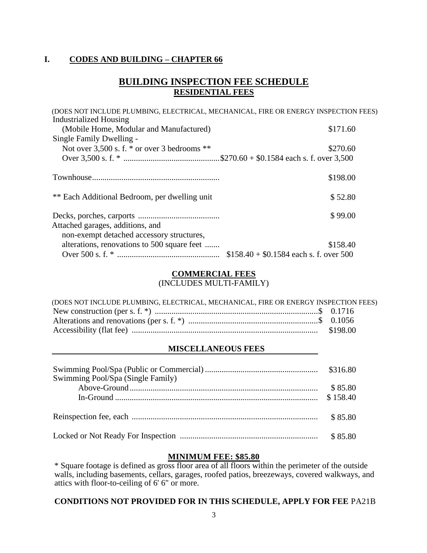#### **I. CODES AND BUILDING – CHAPTER 66**

### **BUILDING INSPECTION FEE SCHEDULE RESIDENTIAL FEES**

| (DOES NOT INCLUDE PLUMBING, ELECTRICAL, MECHANICAL, FIRE OR ENERGY INSPECTION FEES) |                                         |
|-------------------------------------------------------------------------------------|-----------------------------------------|
| <b>Industrialized Housing</b>                                                       |                                         |
| (Mobile Home, Modular and Manufactured)                                             | \$171.60                                |
| Single Family Dwelling -                                                            |                                         |
| Not over $3,500$ s. f. $*$ or over 3 bedrooms $**$                                  | \$270.60                                |
|                                                                                     |                                         |
|                                                                                     | \$198.00                                |
| ** Each Additional Bedroom, per dwelling unit                                       | \$52.80                                 |
| Attached garages, additions, and                                                    | \$99.00                                 |
| non-exempt detached accessory structures,                                           |                                         |
| alterations, renovations to 500 square feet                                         | \$158.40                                |
|                                                                                     | $$158.40 + $0.1584$ each s. f. over 500 |

#### **COMMERCIAL FEES**

(INCLUDES MULTI-FAMILY)

| (DOES NOT INCLUDE PLUMBING, ELECTRICAL, MECHANICAL, FIRE OR ENERGY INSPECTION FEES) |  |
|-------------------------------------------------------------------------------------|--|
|                                                                                     |  |
|                                                                                     |  |
|                                                                                     |  |

#### **MISCELLANEOUS FEES**

| Swimming Pool/Spa (Single Family) | \$316.80 |
|-----------------------------------|----------|
|                                   | \$85.80  |
|                                   | \$158.40 |
|                                   |          |
|                                   | \$85.80  |
|                                   | \$85.80  |

### **MINIMUM FEE: \$85.80**

\* Square footage is defined as gross floor area of all floors within the perimeter of the outside walls, including basements, cellars, garages, roofed patios, breezeways, covered walkways, and attics with floor-to-ceiling of 6' 6" or more.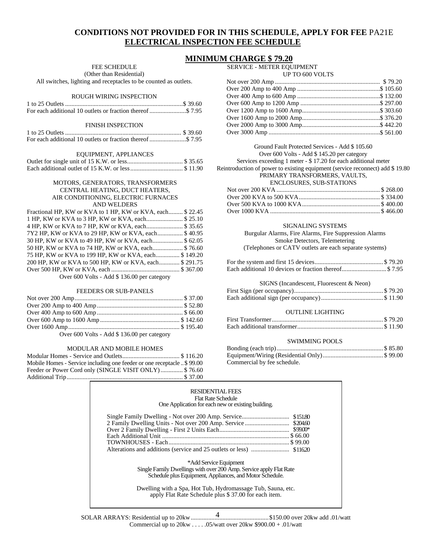#### **CONDITIONS NOT PROVIDED FOR IN THIS SCHEDULE, APPLY FOR FEE** PA21E **ELECTRICAL INSPECTION FEE SCHEDULE**

## **MINIMUM CHARGE \$ 70.20**

FEE SCHEDULE

(Other than Residential)

All switches, lighting and receptacles to be counted as outlets.

#### ROUGH WIRING INSPECTION

#### FINISH INSPECTION

#### EQUIPMENT, APPLIANCES

#### MOTORS, GENERATORS, TRANSFORMERS CENTRAL HEATING, DUCT HEATERS, AIR CONDITIONING, ELECTRIC FURNACES AND WELDERS

| Fractional HP, KW or KVA to 1 HP, KW or KVA, each \$22.45 |  |
|-----------------------------------------------------------|--|
| 1 HP. KW or KVA to 3 HP. KW or KVA, each \$ 25.10         |  |
| 4 HP, KW or KVA to 7 HP, KW or KVA, each \$ 35.65         |  |
| 7Y2 HP, KW or KVA to 29 HP, KW or KVA, each \$40.95       |  |
| 30 HP, KW or KVA to 49 HP, KW or KVA, each \$ 62.05       |  |
| 50 HP, KW or KVA to 74 HP, KW or KVA, each \$76.60        |  |
| 75 HP, KW or KVA to 199 HP, KW or KVA, each \$149.20      |  |
| 200 HP, KW or KVA to 500 HP, KW or KVA, each \$291.75     |  |
|                                                           |  |
| Over 600 Volts - Add \$136.00 per category                |  |

#### FEEDERS OR SUB-PANELS

| Over 600 Volts - Add \$ 136.00 per category |  |
|---------------------------------------------|--|

#### MODULAR AND MOBILE HOMES

| Mobile Homes - Service including one feeder or one receptacle \$99.00 |  |
|-----------------------------------------------------------------------|--|
| Feeder or Power Cord only (SINGLE VISIT ONLY) \$76.60                 |  |
|                                                                       |  |

| 9.40 VIII (VIIII VIIII VIIII) N  |  |
|----------------------------------|--|
| <b>SERVICE - METER EQUIPMENT</b> |  |

UP TO 600 VOLTS

| $U_1$ 10000 $V$ 0.119 |  |
|-----------------------|--|
|                       |  |
|                       |  |
|                       |  |
|                       |  |
|                       |  |
|                       |  |
|                       |  |
|                       |  |
|                       |  |

#### Ground Fault Protected Services - Add \$ 105.60 Over 600 Volts - Add \$ 145.20 per category Services exceeding 1 meter - \$ 17.20 for each additional meter Reintroduction of power to existing equipment (service reconnect) add \$ 19.80 PRIMARY TRANSFORMERS, VAULTS,

#### ENCLOSURES, SUB-STATIONS

#### SIGNALING SYSTEMS

Burgular Alarms, Fire Alarms, Fire Suppression Alarms Smoke Detectors, Telemetering (Telephones or CATV outlets are each separate systems)

#### SIGNS (Incandescent, Fluorescent & Neon)

#### OUTLINE LIGHTING

#### SWIMMING POOLS

| Commercial by fee schedule. |  |
|-----------------------------|--|

| RESIDENTIAL FEES<br><b>Flat Rate Schedule</b><br>One Application for each new or existing building.                                                                                                                                                                             |
|---------------------------------------------------------------------------------------------------------------------------------------------------------------------------------------------------------------------------------------------------------------------------------|
|                                                                                                                                                                                                                                                                                 |
| *Add Service Equipment<br>Single Family Dwellings with over 200 Amp. Service apply Flat Rate<br>Schedule plus Equipment, Appliances, and Motor Schedule.<br>Dwelling with a Spa, Hot Tub, Hydromassage Tub, Sauna, etc.<br>apply Flat Rate Schedule plus \$37.00 for each item. |

4 SOLAR ARRAYS: Residential up to 20kw.................................................\$150.00 over 20kw add .01/watt Commercial up to  $20kw$  . . . . .05/watt over  $20kw$  \$900.00 + .01/watt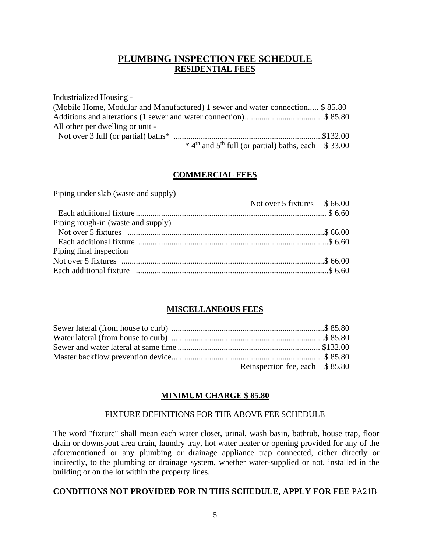### **PLUMBING INSPECTION FEE SCHEDULE RESIDENTIAL FEES**

Industrialized Housing - (Mobile Home, Modular and Manufactured) 1 sewer and water connection..... \$ 85.80 Additions and alterations **(1** sewer and water connection)..................................... \$ 85.80 All other per dwelling or unit - Not over 3 full (or partial) baths\* .......................................................................\$132.00  $*$  4<sup>th</sup> and 5<sup>th</sup> full (or partial) baths, each \$ 33.00

#### **COMMERCIAL FEES**

|                                    | Not over 5 fixtures \$66.00 |  |
|------------------------------------|-----------------------------|--|
|                                    |                             |  |
| Piping rough-in (waste and supply) |                             |  |
|                                    |                             |  |
|                                    |                             |  |
| Piping final inspection            |                             |  |
|                                    |                             |  |
|                                    |                             |  |
|                                    |                             |  |

Piping under slab (waste and supply)

#### **MISCELLANEOUS FEES**

| Reinspection fee, each \$85.80 |  |
|--------------------------------|--|

#### **MINIMUM CHARGE \$ 85.80**

#### FIXTURE DEFINITIONS FOR THE ABOVE FEE SCHEDULE

The word "fixture" shall mean each water closet, urinal, wash basin, bathtub, house trap, floor drain or downspout area drain, laundry tray, hot water heater or opening provided for any of the aforementioned or any plumbing or drainage appliance trap connected, either directly or indirectly, to the plumbing or drainage system, whether water-supplied or not, installed in the building or on the lot within the property lines.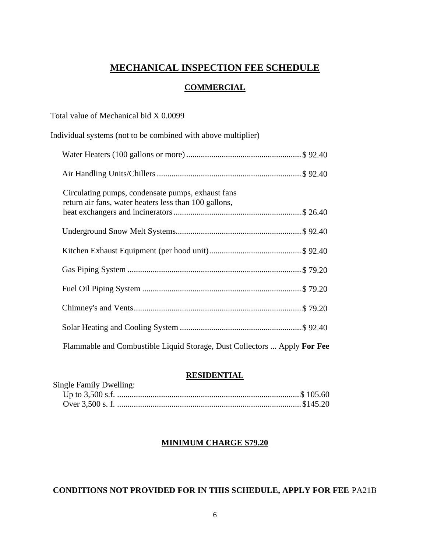### **MECHANICAL INSPECTION FEE SCHEDULE**

#### **COMMERCIAL**

| Total value of Mechanical bid X 0.0099                                                                     |
|------------------------------------------------------------------------------------------------------------|
| Individual systems (not to be combined with above multiplier)                                              |
|                                                                                                            |
|                                                                                                            |
| Circulating pumps, condensate pumps, exhaust fans<br>return air fans, water heaters less than 100 gallons, |
|                                                                                                            |
|                                                                                                            |
|                                                                                                            |
|                                                                                                            |
|                                                                                                            |
|                                                                                                            |
| Flammable and Combustible Liquid Storage, Dust Collectors  Apply For Fee                                   |

#### **RESIDENTIAL**

| Single Family Dwelling: |  |
|-------------------------|--|
|                         |  |
|                         |  |

#### **MINIMUM CHARGE S79.20**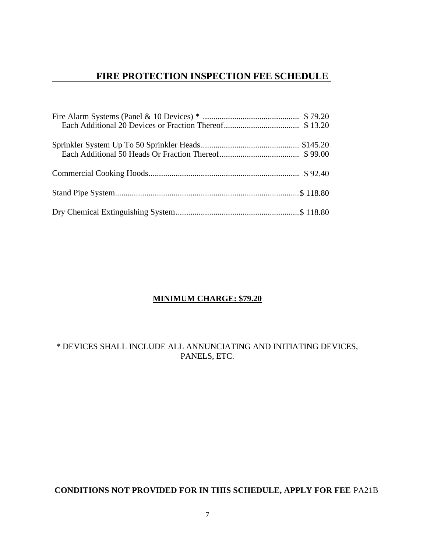### **FIRE PROTECTION INSPECTION FEE SCHEDULE**

#### **MINIMUM CHARGE: \$79.20**

\* DEVICES SHALL INCLUDE ALL ANNUNCIATING AND INITIATING DEVICES, PANELS, ETC.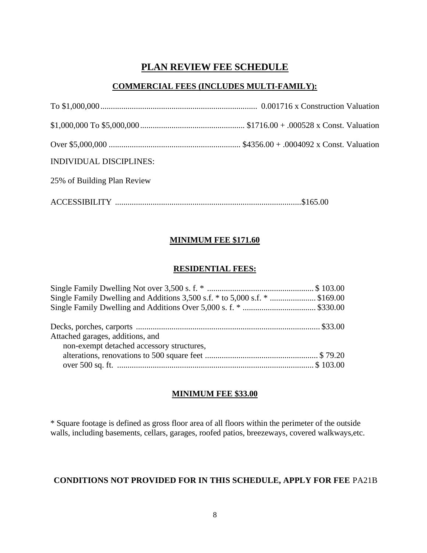# **PLAN REVIEW FEE SCHEDULE**

### **COMMERCIAL FEES (INCLUDES MULTI-FAMILY):**

| <b>INDIVIDUAL DISCIPLINES:</b> |  |
|--------------------------------|--|
| 25% of Building Plan Review    |  |
|                                |  |

### **MINIMUM FEE \$171.60**

#### **RESIDENTIAL FEES:**

| Single Family Dwelling and Additions 3,500 s.f. $*$ to 5,000 s.f. $*$ \$169.00 |  |
|--------------------------------------------------------------------------------|--|
|                                                                                |  |
|                                                                                |  |
|                                                                                |  |
| Attached garages, additions, and                                               |  |
| non-exempt detached accessory structures,                                      |  |
|                                                                                |  |
|                                                                                |  |

#### **MINIMUM FEE \$33.00**

\* Square footage is defined as gross floor area of all floors within the perimeter of the outside walls, including basements, cellars, garages, roofed patios, breezeways, covered walkways,etc.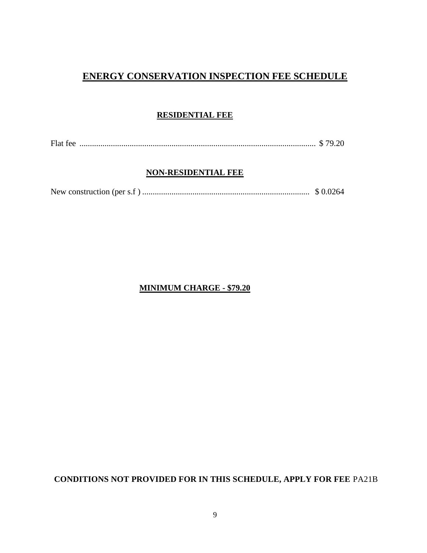# **ENERGY CONSERVATION INSPECTION FEE SCHEDULE**

### **RESIDENTIAL FEE**

Flat fee ................................................................................................................. \$ 79.20

#### **NON-RESIDENTIAL FEE**

#### **MINIMUM CHARGE - \$79.20**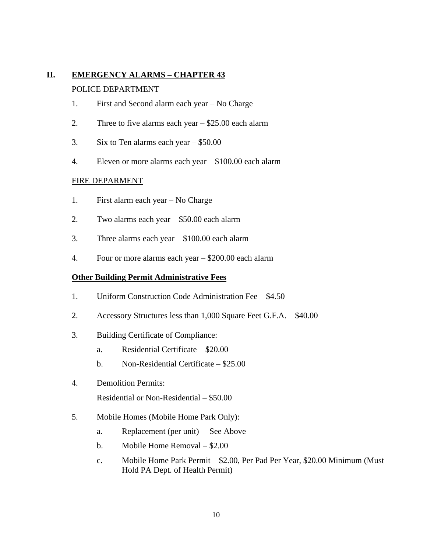# **II. EMERGENCY ALARMS – CHAPTER 43**

#### POLICE DEPARTMENT

- 1. First and Second alarm each year No Charge
- 2. Three to five alarms each year \$25.00 each alarm
- 3. Six to Ten alarms each year \$50.00
- 4. Eleven or more alarms each year \$100.00 each alarm

#### FIRE DEPARMENT

- 1. First alarm each year No Charge
- 2. Two alarms each year \$50.00 each alarm
- 3. Three alarms each year \$100.00 each alarm
- 4. Four or more alarms each year \$200.00 each alarm

#### **Other Building Permit Administrative Fees**

- 1. Uniform Construction Code Administration Fee \$4.50
- 2. Accessory Structures less than 1,000 Square Feet G.F.A. \$40.00
- 3. Building Certificate of Compliance:
	- a. Residential Certificate \$20.00
	- b. Non-Residential Certificate \$25.00
- 4. Demolition Permits: Residential or Non-Residential – \$50.00
- 5. Mobile Homes (Mobile Home Park Only):
	- a. Replacement (per unit) See Above
	- b. Mobile Home Removal \$2.00
	- c. Mobile Home Park Permit \$2.00, Per Pad Per Year, \$20.00 Minimum (Must Hold PA Dept. of Health Permit)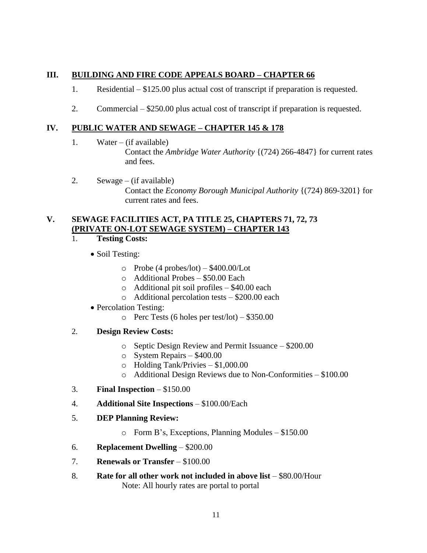#### **III. BUILDING AND FIRE CODE APPEALS BOARD – CHAPTER 66**

- 1. Residential \$125.00 plus actual cost of transcript if preparation is requested.
- 2. Commercial \$250.00 plus actual cost of transcript if preparation is requested.

#### **IV. PUBLIC WATER AND SEWAGE – CHAPTER 145 & 178**

1. Water – (if available)

Contact the *Ambridge Water Authority* {(724) 266-4847} for current rates and fees.

2. Sewage – (if available) Contact the *Economy Borough Municipal Authority* {(724) 869-3201} for current rates and fees.

#### **V. SEWAGE FACILITIES ACT, PA TITLE 25, CHAPTERS 71, 72, 73 (PRIVATE ON-LOT SEWAGE SYSTEM) – CHAPTER 143**

- 1. **Testing Costs:**
	- Soil Testing:
		- $\circ$  Probe (4 probes/lot) \$400.00/Lot
		- o Additional Probes \$50.00 Each
		- o Additional pit soil profiles \$40.00 each
		- o Additional percolation tests \$200.00 each
	- Percolation Testing:
		- o Perc Tests (6 holes per test/lot)  $$350.00$
- 2. **Design Review Costs:**
	- o Septic Design Review and Permit Issuance \$200.00
	- o System Repairs \$400.00
	- o Holding Tank/Privies \$1,000.00
	- o Additional Design Reviews due to Non-Conformities \$100.00
- 3. **Final Inspection** \$150.00
- 4. **Additional Site Inspections** \$100.00/Each
- 5. **DEP Planning Review:**
	- o Form B's, Exceptions, Planning Modules \$150.00
- 6. **Replacement Dwelling** \$200.00
- 7. **Renewals or Transfer** \$100.00
- 8. **Rate for all other work not included in above list** \$80.00/Hour Note: All hourly rates are portal to portal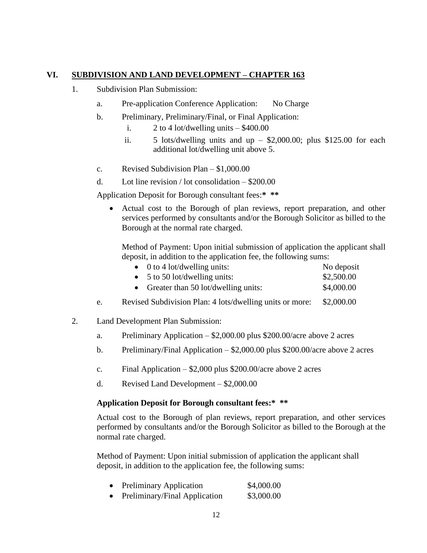#### **VI. SUBDIVISION AND LAND DEVELOPMENT – CHAPTER 163**

- 1. Subdivision Plan Submission:
	- a. Pre-application Conference Application: No Charge
	- b. Preliminary, Preliminary/Final, or Final Application:
		- i.  $2 \text{ to } 4$  lot/dwelling units  $-$  \$400.00
		- ii.  $5$  lots/dwelling units and up  $-$  \$2,000.00; plus \$125.00 for each additional lot/dwelling unit above 5.
	- c. Revised Subdivision Plan \$1,000.00
	- d. Lot line revision / lot consolidation \$200.00

Application Deposit for Borough consultant fees:**\* \*\***

• Actual cost to the Borough of plan reviews, report preparation, and other services performed by consultants and/or the Borough Solicitor as billed to the Borough at the normal rate charged.

Method of Payment: Upon initial submission of application the applicant shall deposit, in addition to the application fee, the following sums:

| $\bullet$ 0 to 4 lot/dwelling units:  | No deposit |
|---------------------------------------|------------|
| $\bullet$ 5 to 50 lot/dwelling units: | \$2,500.00 |
| Greater than 50 lot/dwelling units:   | \$4,000.00 |

- e. Revised Subdivision Plan: 4 lots/dwelling units or more: \$2,000.00
- 2. Land Development Plan Submission:
	- a. Preliminary Application \$2,000.00 plus \$200.00/acre above 2 acres
	- b. Preliminary/Final Application \$2,000.00 plus \$200.00/acre above 2 acres
	- c. Final Application  $$2,000$  plus  $$200.00/$ acre above 2 acres
	- d. Revised Land Development \$2,000.00

#### **Application Deposit for Borough consultant fees:\* \*\***

Actual cost to the Borough of plan reviews, report preparation, and other services performed by consultants and/or the Borough Solicitor as billed to the Borough at the normal rate charged.

Method of Payment: Upon initial submission of application the applicant shall deposit, in addition to the application fee, the following sums:

|  | <b>Preliminary Application</b> | \$4,000.00 |
|--|--------------------------------|------------|
|--|--------------------------------|------------|

• Preliminary/Final Application \$3,000.00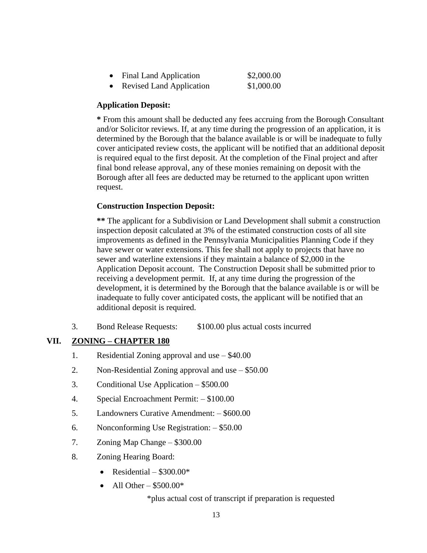| <b>Final Land Application</b>   | \$2,000.00 |
|---------------------------------|------------|
| <b>Revised Land Application</b> | \$1,000.00 |

#### **Application Deposit:**

**\*** From this amount shall be deducted any fees accruing from the Borough Consultant and/or Solicitor reviews. If, at any time during the progression of an application, it is determined by the Borough that the balance available is or will be inadequate to fully cover anticipated review costs, the applicant will be notified that an additional deposit is required equal to the first deposit. At the completion of the Final project and after final bond release approval, any of these monies remaining on deposit with the Borough after all fees are deducted may be returned to the applicant upon written request.

#### **Construction Inspection Deposit:**

**\*\*** The applicant for a Subdivision or Land Development shall submit a construction inspection deposit calculated at 3% of the estimated construction costs of all site improvements as defined in the Pennsylvania Municipalities Planning Code if they have sewer or water extensions. This fee shall not apply to projects that have no sewer and waterline extensions if they maintain a balance of \$2,000 in the Application Deposit account. The Construction Deposit shall be submitted prior to receiving a development permit. If, at any time during the progression of the development, it is determined by the Borough that the balance available is or will be inadequate to fully cover anticipated costs, the applicant will be notified that an additional deposit is required.

3. Bond Release Requests: \$100.00 plus actual costs incurred

#### **VII. ZONING – CHAPTER 180**

- 1. Residential Zoning approval and use \$40.00
- 2. Non-Residential Zoning approval and use \$50.00
- 3. Conditional Use Application \$500.00
- 4. Special Encroachment Permit: \$100.00
- 5. Landowners Curative Amendment: \$600.00
- 6. Nonconforming Use Registration: \$50.00
- 7. Zoning Map Change \$300.00
- 8. Zoning Hearing Board:
	- Residential  $$300.00*$
	- All Other  $$500.00*$

\*plus actual cost of transcript if preparation is requested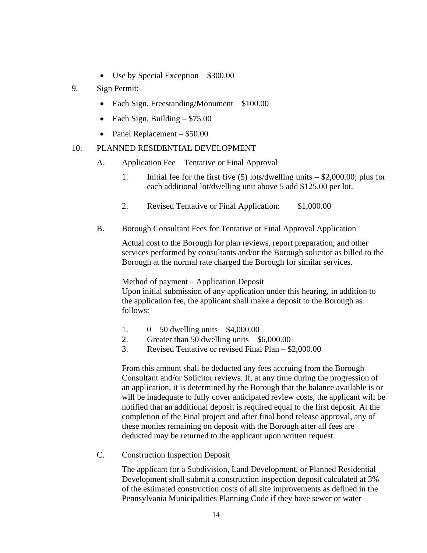- Use by Special Exception \$300.00
- 9. Sign Permit:
	- Each Sign, Freestanding/Monument \$100.00
	- Each Sign, Building  $$75.00$
	- Panel Replacement \$50.00
- 10. PLANNED RESIDENTIAL DEVELOPMENT
	- A. Application Fee Tentative or Final Approval
		- 1. Initial fee for the first five (5) lots/dwelling units \$2,000.00; plus for each additional lot/dwelling unit above 5 add \$125.00 per lot.
		- 2. Revised Tentative or Final Application: \$1,000.00
	- B. Borough Consultant Fees for Tentative or Final Approval Application

Actual cost to the Borough for plan reviews, report preparation, and other services performed by consultants and/or the Borough solicitor as billed to the Borough at the normal rate charged the Borough for similar services.

Method of payment – Application Deposit

Upon initial submission of any application under this hearing, in addition to the application fee, the applicant shall make a deposit to the Borough as follows:

- 1.  $0 50$  dwelling units  $$4,000.00$
- 2. Greater than 50 dwelling units \$6,000.00
- 3. Revised Tentative or revised Final Plan \$2,000.00

From this amount shall be deducted any fees accruing from the Borough Consultant and/or Solicitor reviews. If, at any time during the progression of an application, it is determined by the Borough that the balance available is or will be inadequate to fully cover anticipated review costs, the applicant will be notified that an additional deposit is required equal to the first deposit. At the completion of the Final project and after final bond release approval, any of these monies remaining on deposit with the Borough after all fees are deducted may be returned to the applicant upon written request.

C. Construction Inspection Deposit

The applicant for a Subdivision, Land Development, or Planned Residential Development shall submit a construction inspection deposit calculated at 3% of the estimated construction costs of all site improvements as defined in the Pennsylvania Municipalities Planning Code if they have sewer or water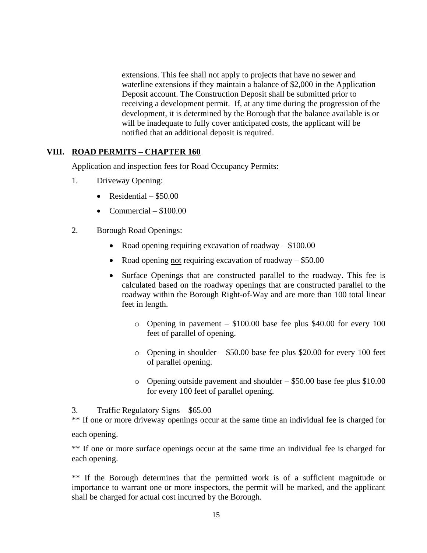extensions. This fee shall not apply to projects that have no sewer and waterline extensions if they maintain a balance of \$2,000 in the Application Deposit account. The Construction Deposit shall be submitted prior to receiving a development permit. If, at any time during the progression of the development, it is determined by the Borough that the balance available is or will be inadequate to fully cover anticipated costs, the applicant will be notified that an additional deposit is required.

#### **VIII. ROAD PERMITS – CHAPTER 160**

Application and inspection fees for Road Occupancy Permits:

- 1. Driveway Opening:
	- Residential  $-$  \$50.00
	- Commercial  $-$  \$100.00
- 2. Borough Road Openings:
	- Road opening requiring excavation of roadway \$100.00
	- Road opening not requiring excavation of roadway  $-$  \$50.00
	- Surface Openings that are constructed parallel to the roadway. This fee is calculated based on the roadway openings that are constructed parallel to the roadway within the Borough Right-of-Way and are more than 100 total linear feet in length.
		- o Opening in pavement \$100.00 base fee plus \$40.00 for every 100 feet of parallel of opening.
		- o Opening in shoulder \$50.00 base fee plus \$20.00 for every 100 feet of parallel opening.
		- o Opening outside pavement and shoulder \$50.00 base fee plus \$10.00 for every 100 feet of parallel opening.
- 3. Traffic Regulatory Signs \$65.00

\*\* If one or more driveway openings occur at the same time an individual fee is charged for each opening.

\*\* If one or more surface openings occur at the same time an individual fee is charged for each opening.

\*\* If the Borough determines that the permitted work is of a sufficient magnitude or importance to warrant one or more inspectors, the permit will be marked, and the applicant shall be charged for actual cost incurred by the Borough.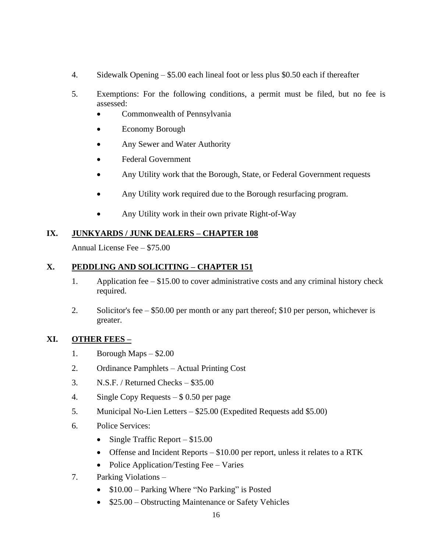- 4. Sidewalk Opening \$5.00 each lineal foot or less plus \$0.50 each if thereafter
- 5. Exemptions: For the following conditions, a permit must be filed, but no fee is assessed:
	- Commonwealth of Pennsylvania
	- Economy Borough
	- Any Sewer and Water Authority
	- Federal Government
	- Any Utility work that the Borough, State, or Federal Government requests
	- Any Utility work required due to the Borough resurfacing program.
	- Any Utility work in their own private Right-of-Way

#### **IX. JUNKYARDS / JUNK DEALERS – CHAPTER 108**

Annual License Fee – \$75.00

#### **X. PEDDLING AND SOLICITING – CHAPTER 151**

- 1. Application fee \$15.00 to cover administrative costs and any criminal history check required.
- 2. Solicitor's fee \$50.00 per month or any part thereof; \$10 per person, whichever is greater.

#### **XI. OTHER FEES –**

- 1. Borough Maps \$2.00
- 2. Ordinance Pamphlets Actual Printing Cost
- 3. N.S.F. / Returned Checks \$35.00
- 4. Single Copy Requests \$ 0.50 per page
- 5. Municipal No-Lien Letters \$25.00 (Expedited Requests add \$5.00)
- 6. Police Services:
	- Single Traffic Report \$15.00
	- Offense and Incident Reports \$10.00 per report, unless it relates to a RTK
	- Police Application/Testing Fee Varies
- 7. Parking Violations
	- \$10.00 Parking Where "No Parking" is Posted
	- \$25.00 Obstructing Maintenance or Safety Vehicles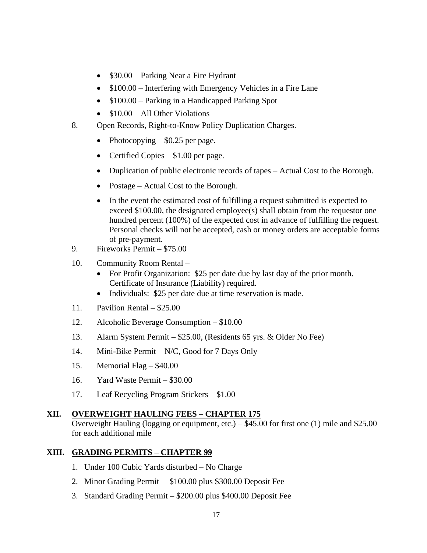- \$30.00 Parking Near a Fire Hydrant
- \$100.00 Interfering with Emergency Vehicles in a Fire Lane
- $$100.00 -$  Parking in a Handicapped Parking Spot
- $$10.00 Al1$  Other Violations
- 8. Open Records, Right-to-Know Policy Duplication Charges.
	- Photocopying  $-$  \$0.25 per page.
	- Certified Copies \$1.00 per page.
	- Duplication of public electronic records of tapes Actual Cost to the Borough.
	- Postage Actual Cost to the Borough.
	- In the event the estimated cost of fulfilling a request submitted is expected to exceed \$100.00, the designated employee(s) shall obtain from the requestor one hundred percent (100%) of the expected cost in advance of fulfilling the request. Personal checks will not be accepted, cash or money orders are acceptable forms of pre-payment.
- 9. Fireworks Permit \$75.00
- 10. Community Room Rental
	- For Profit Organization: \$25 per date due by last day of the prior month. Certificate of Insurance (Liability) required.
	- Individuals: \$25 per date due at time reservation is made.
- 11. Pavilion Rental \$25.00
- 12. Alcoholic Beverage Consumption \$10.00
- 13. Alarm System Permit \$25.00, (Residents 65 yrs. & Older No Fee)
- 14. Mini-Bike Permit N/C, Good for 7 Days Only
- 15. Memorial Flag \$40.00
- 16. Yard Waste Permit \$30.00
- 17. Leaf Recycling Program Stickers \$1.00

#### **XII. OVERWEIGHT HAULING FEES – CHAPTER 175**

Overweight Hauling (logging or equipment, etc.) – \$45.00 for first one (1) mile and \$25.00 for each additional mile

#### **XIII. GRADING PERMITS – CHAPTER 99**

- 1. Under 100 Cubic Yards disturbed No Charge
- 2. Minor Grading Permit \$100.00 plus \$300.00 Deposit Fee
- 3. Standard Grading Permit \$200.00 plus \$400.00 Deposit Fee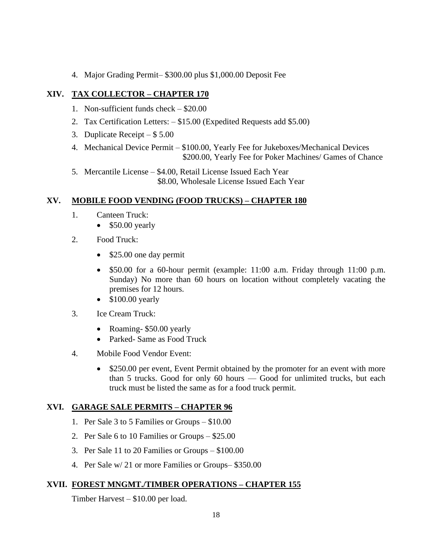4. Major Grading Permit– \$300.00 plus \$1,000.00 Deposit Fee

### **XIV. TAX COLLECTOR – CHAPTER 170**

- 1. Non-sufficient funds check \$20.00
- 2. Tax Certification Letters: \$15.00 (Expedited Requests add \$5.00)
- 3. Duplicate Receipt \$ 5.00
- 4. Mechanical Device Permit \$100.00, Yearly Fee for Jukeboxes/Mechanical Devices \$200.00, Yearly Fee for Poker Machines/ Games of Chance
- 5. Mercantile License \$4.00, Retail License Issued Each Year \$8.00, Wholesale License Issued Each Year

#### **XV. MOBILE FOOD VENDING (FOOD TRUCKS) – CHAPTER 180**

- 1. Canteen Truck:
	- \$50.00 yearly
- 2. Food Truck:
	- \$25.00 one day permit
	- \$50.00 for a 60-hour permit (example: 11:00 a.m. Friday through 11:00 p.m. Sunday) No more than 60 hours on location without completely vacating the premises for 12 hours.
	- \$100.00 yearly
- 3. Ice Cream Truck:
	- Roaming- \$50.00 yearly
	- Parked- Same as Food Truck
- 4. Mobile Food Vendor Event:
	- \$250.00 per event, Event Permit obtained by the promoter for an event with more than 5 trucks. Good for only 60 hours — Good for unlimited trucks, but each truck must be listed the same as for a food truck permit.

#### **XVI. GARAGE SALE PERMITS – CHAPTER 96**

- 1. Per Sale 3 to 5 Families or Groups \$10.00
- 2. Per Sale 6 to 10 Families or Groups \$25.00
- 3. Per Sale 11 to 20 Families or Groups \$100.00
- 4. Per Sale w/ 21 or more Families or Groups– \$350.00

### **XVII. FOREST MNGMT./TIMBER OPERATIONS – CHAPTER 155**

Timber Harvest – \$10.00 per load.